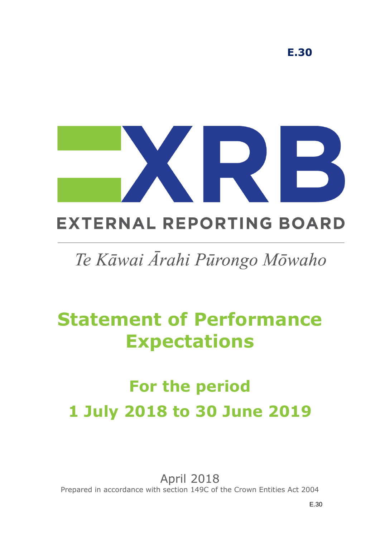

# **EXTERNAL REPORTING BOARD**

# Te Kāwai Ārahi Pūrongo Mōwaho

# **Statement of Performance Expectations**

# **For the period 1 July 2018 to 30 June 2019**

April 2018 Prepared in accordance with section 149C of the Crown Entities Act 2004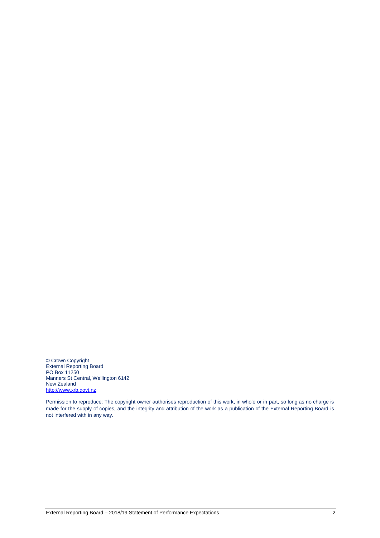© Crown Copyright External Reporting Board PO Box 11250 Manners St Central, Wellington 6142 New Zealand [http://www.xrb.govt.nz](http://www.xrb.govt.nz/)

Permission to reproduce: The copyright owner authorises reproduction of this work, in whole or in part, so long as no charge is made for the supply of copies, and the integrity and attribution of the work as a publication of the External Reporting Board is not interfered with in any way.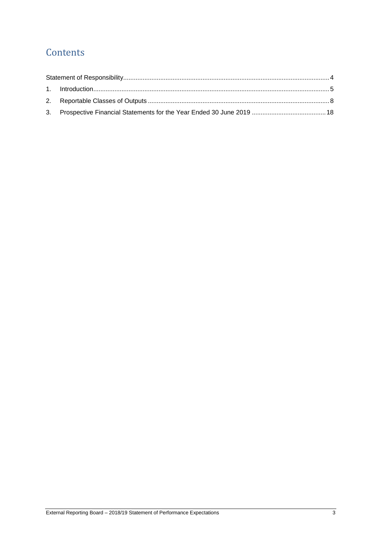# **Contents**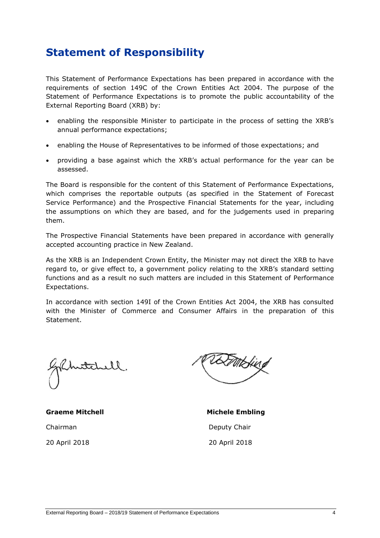# <span id="page-3-0"></span>**Statement of Responsibility**

This Statement of Performance Expectations has been prepared in accordance with the requirements of section 149C of the Crown Entities Act 2004. The purpose of the Statement of Performance Expectations is to promote the public accountability of the External Reporting Board (XRB) by:

- enabling the responsible Minister to participate in the process of setting the XRB's annual performance expectations;
- enabling the House of Representatives to be informed of those expectations; and
- providing a base against which the XRB's actual performance for the year can be assessed.

The Board is responsible for the content of this Statement of Performance Expectations, which comprises the reportable outputs (as specified in the Statement of Forecast Service Performance) and the Prospective Financial Statements for the year, including the assumptions on which they are based, and for the judgements used in preparing them.

The Prospective Financial Statements have been prepared in accordance with generally accepted accounting practice in New Zealand.

As the XRB is an Independent Crown Entity, the Minister may not direct the XRB to have regard to, or give effect to, a government policy relating to the XRB's standard setting functions and as a result no such matters are included in this Statement of Performance Expectations.

In accordance with section 149I of the Crown Entities Act 2004, the XRB has consulted with the Minister of Commerce and Consumer Affairs in the preparation of this Statement.

nitch

**Graeme Mitchell Michele Embling** Chairman Deputy Chair 20 April 2018 20 April 2018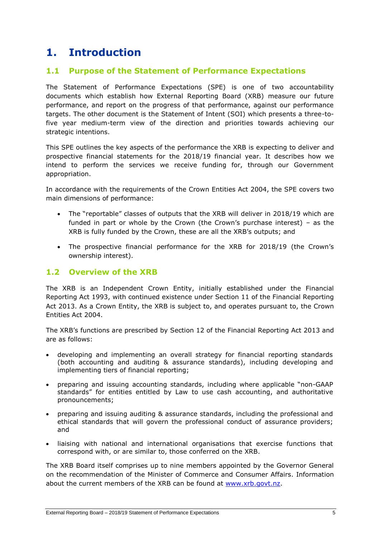# <span id="page-4-0"></span>**1. Introduction**

## **1.1 Purpose of the Statement of Performance Expectations**

The Statement of Performance Expectations (SPE) is one of two accountability documents which establish how External Reporting Board (XRB) measure our future performance, and report on the progress of that performance, against our performance targets. The other document is the Statement of Intent (SOI) which presents a three-tofive year medium-term view of the direction and priorities towards achieving our strategic intentions.

This SPE outlines the key aspects of the performance the XRB is expecting to deliver and prospective financial statements for the 2018/19 financial year. It describes how we intend to perform the services we receive funding for, through our Government appropriation.

In accordance with the requirements of the Crown Entities Act 2004, the SPE covers two main dimensions of performance:

- The "reportable" classes of outputs that the XRB will deliver in 2018/19 which are funded in part or whole by the Crown (the Crown's purchase interest) – as the XRB is fully funded by the Crown, these are all the XRB's outputs; and
- The prospective financial performance for the XRB for 2018/19 (the Crown's ownership interest).

## **1.2 Overview of the XRB**

The XRB is an Independent Crown Entity, initially established under the Financial Reporting Act 1993, with continued existence under Section 11 of the Financial Reporting Act 2013. As a Crown Entity, the XRB is subject to, and operates pursuant to, the Crown Entities Act 2004.

The XRB's functions are prescribed by Section 12 of the Financial Reporting Act 2013 and are as follows:

- developing and implementing an overall strategy for financial reporting standards (both accounting and auditing & assurance standards), including developing and implementing tiers of financial reporting;
- preparing and issuing accounting standards, including where applicable "non-GAAP standards" for entities entitled by Law to use cash accounting, and authoritative pronouncements;
- preparing and issuing auditing & assurance standards, including the professional and ethical standards that will govern the professional conduct of assurance providers; and
- liaising with national and international organisations that exercise functions that correspond with, or are similar to, those conferred on the XRB.

The XRB Board itself comprises up to nine members appointed by the Governor General on the recommendation of the Minister of Commerce and Consumer Affairs. Information about the current members of the XRB can be found at [www.xrb.govt.nz.](http://www.xrb.govt.nz/)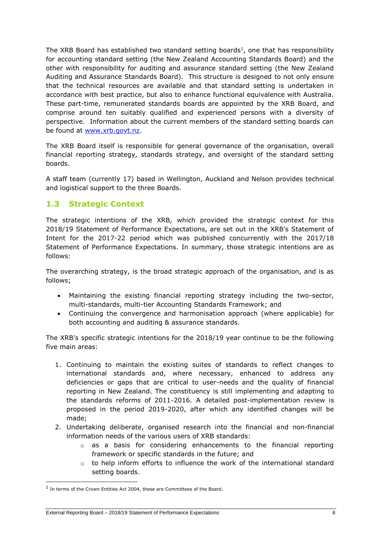The XRB Board has established two standard setting boards<sup>1</sup>, one that has responsibility for accounting standard setting (the New Zealand Accounting Standards Board) and the other with responsibility for auditing and assurance standard setting (the New Zealand Auditing and Assurance Standards Board). This structure is designed to not only ensure that the technical resources are available and that standard setting is undertaken in accordance with best practice, but also to enhance functional equivalence with Australia. These part-time, remunerated standards boards are appointed by the XRB Board, and comprise around ten suitably qualified and experienced persons with a diversity of perspective. Information about the current members of the standard setting boards can be found at [www.xrb.govt.nz.](http://www.xrb.govt.nz/)

The XRB Board itself is responsible for general governance of the organisation, overall financial reporting strategy, standards strategy, and oversight of the standard setting boards.

A staff team (currently 17) based in Wellington, Auckland and Nelson provides technical and logistical support to the three Boards.

## **1.3 Strategic Context**

The strategic intentions of the XRB, which provided the strategic context for this 2018/19 Statement of Performance Expectations, are set out in the XRB's Statement of Intent for the 2017-22 period which was published concurrently with the 2017/18 Statement of Performance Expectations. In summary, those strategic intentions are as follows:

The overarching strategy, is the broad strategic approach of the organisation, and is as follows;

- Maintaining the existing financial reporting strategy including the two-sector, multi-standards, multi-tier Accounting Standards Framework; and
- Continuing the convergence and harmonisation approach (where applicable) for both accounting and auditing & assurance standards.

The XRB's specific strategic intentions for the 2018/19 year continue to be the following five main areas:

- 1. Continuing to maintain the existing suites of standards to reflect changes to international standards and, where necessary, enhanced to address any deficiencies or gaps that are critical to user-needs and the quality of financial reporting in New Zealand. The constituency is still implementing and adapting to the standards reforms of 2011-2016. A detailed post-implementation review is proposed in the period 2019-2020, after which any identified changes will be made;
- 2. Undertaking deliberate, organised research into the financial and non-financial information needs of the various users of XRB standards:
	- $\circ$  as a basis for considering enhancements to the financial reporting framework or specific standards in the future; and
	- $\circ$  to help inform efforts to influence the work of the international standard setting boards.

-

<sup>&</sup>lt;sup>1</sup> In terms of the Crown Entities Act 2004, these are Committees of the Board.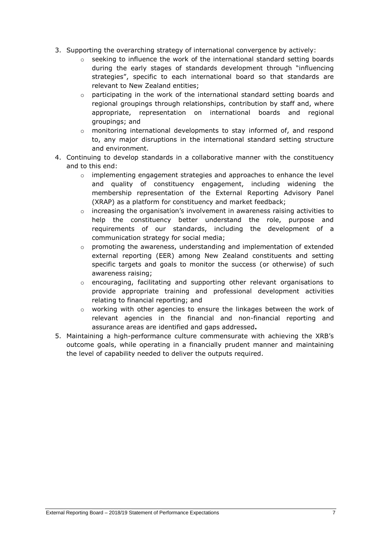- 3. Supporting the overarching strategy of international convergence by actively:
	- $\circ$  seeking to influence the work of the international standard setting boards during the early stages of standards development through "influencing strategies", specific to each international board so that standards are relevant to New Zealand entities;
	- $\circ$  participating in the work of the international standard setting boards and regional groupings through relationships, contribution by staff and, where appropriate, representation on international boards and regional groupings; and
	- o monitoring international developments to stay informed of, and respond to, any major disruptions in the international standard setting structure and environment.
- 4. Continuing to develop standards in a collaborative manner with the constituency and to this end:
	- $\circ$  implementing engagement strategies and approaches to enhance the level and quality of constituency engagement, including widening the membership representation of the External Reporting Advisory Panel (XRAP) as a platform for constituency and market feedback;
	- $\circ$  increasing the organisation's involvement in awareness raising activities to help the constituency better understand the role, purpose and requirements of our standards, including the development of a communication strategy for social media;
	- $\circ$  promoting the awareness, understanding and implementation of extended external reporting (EER) among New Zealand constituents and setting specific targets and goals to monitor the success (or otherwise) of such awareness raising;
	- $\circ$  encouraging, facilitating and supporting other relevant organisations to provide appropriate training and professional development activities relating to financial reporting; and
	- $\circ$  working with other agencies to ensure the linkages between the work of relevant agencies in the financial and non-financial reporting and assurance areas are identified and gaps addressed**.**
- 5. Maintaining a high-performance culture commensurate with achieving the XRB's outcome goals, while operating in a financially prudent manner and maintaining the level of capability needed to deliver the outputs required.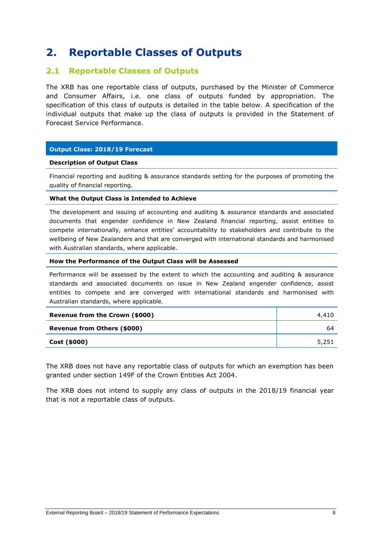# <span id="page-7-0"></span>**2. Reportable Classes of Outputs**

### **2.1 Reportable Classes of Outputs**

The XRB has one reportable class of outputs, purchased by the Minister of Commerce and Consumer Affairs, i.e. one class of outputs funded by appropriation. The specification of this class of outputs is detailed in the table below. A specification of the individual outputs that make up the class of outputs is provided in the Statement of Forecast Service Performance.

#### **Output Class: 2018/19 Forecast**

#### **Description of Output Class**

Financial reporting and auditing & assurance standards setting for the purposes of promoting the quality of financial reporting.

#### **What the Output Class is Intended to Achieve**

The development and issuing of accounting and auditing & assurance standards and associated documents that engender confidence in New Zealand financial reporting, assist entities to compete internationally, enhance entities' accountability to stakeholders and contribute to the wellbeing of New Zealanders and that are converged with international standards and harmonised with Australian standards, where applicable.

#### **How the Performance of the Output Class will be Assessed**

Performance will be assessed by the extent to which the accounting and auditing & assurance standards and associated documents on issue in New Zealand engender confidence, assist entities to compete and are converged with international standards and harmonised with Australian standards, where applicable.

| Revenue from the Crown (\$000) | 4,410 |
|--------------------------------|-------|
| Revenue from Others (\$000)    | 64    |
| Cost (\$000)                   | 5,251 |

The XRB does not have any reportable class of outputs for which an exemption has been granted under section 149F of the Crown Entities Act 2004.

The XRB does not intend to supply any class of outputs in the 2018/19 financial year that is not a reportable class of outputs.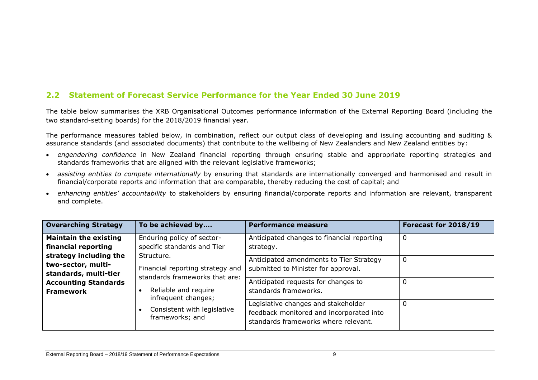# **2.2 Statement of Forecast Service Performance for the Year Ended 30 June 2019**

The table below summarises the XRB Organisational Outcomes performance information of the External Reporting Board (including the two standard-setting boards) for the 2018/2019 financial year.

The performance measures tabled below, in combination, reflect our output class of developing and issuing accounting and auditing & assurance standards (and associated documents) that contribute to the wellbeing of New Zealanders and New Zealand entities by:

- *engendering confidence* in New Zealand financial reporting through ensuring stable and appropriate reporting strategies and standards frameworks that are aligned with the relevant legislative frameworks;
- *assisting entities to compete internationally* by ensuring that standards are internationally converged and harmonised and result in financial/corporate reports and information that are comparable, thereby reducing the cost of capital; and
- *enhancing entities' accountability* to stakeholders by ensuring financial/corporate reports and information are relevant, transparent and complete.

| <b>Overarching Strategy</b>                                           | To be achieved by                                                                | Performance measure                                                                                                     | Forecast for 2018/19 |
|-----------------------------------------------------------------------|----------------------------------------------------------------------------------|-------------------------------------------------------------------------------------------------------------------------|----------------------|
| <b>Maintain the existing</b><br>financial reporting                   | Enduring policy of sector-<br>specific standards and Tier                        | Anticipated changes to financial reporting<br>strategy.                                                                 | 0                    |
| strategy including the<br>two-sector, multi-<br>standards, multi-tier | Structure.<br>Financial reporting strategy and<br>standards frameworks that are: | Anticipated amendments to Tier Strategy<br>submitted to Minister for approval.                                          | 0                    |
| <b>Accounting Standards</b><br><b>Framework</b>                       | Reliable and require<br>infrequent changes;                                      | Anticipated requests for changes to<br>standards frameworks.                                                            | 0                    |
|                                                                       | Consistent with legislative<br>frameworks; and                                   | Legislative changes and stakeholder<br>feedback monitored and incorporated into<br>standards frameworks where relevant. | 0                    |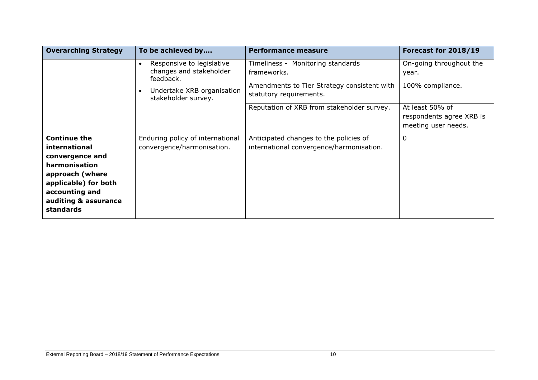| <b>Overarching Strategy</b>                                                                                                                                                | To be achieved by                                                              | Performance measure                                                                | Forecast for 2018/19                                               |
|----------------------------------------------------------------------------------------------------------------------------------------------------------------------------|--------------------------------------------------------------------------------|------------------------------------------------------------------------------------|--------------------------------------------------------------------|
|                                                                                                                                                                            | Responsive to legislative<br>$\bullet$<br>changes and stakeholder<br>feedback. | Timeliness - Monitoring standards<br>frameworks.                                   | On-going throughout the<br>year.                                   |
|                                                                                                                                                                            | Undertake XRB organisation<br>stakeholder survey.                              | Amendments to Tier Strategy consistent with<br>statutory requirements.             | 100% compliance.                                                   |
|                                                                                                                                                                            |                                                                                | Reputation of XRB from stakeholder survey.                                         | At least 50% of<br>respondents agree XRB is<br>meeting user needs. |
| <b>Continue the</b><br>international<br>convergence and<br>harmonisation<br>approach (where<br>applicable) for both<br>accounting and<br>auditing & assurance<br>standards | Enduring policy of international<br>convergence/harmonisation.                 | Anticipated changes to the policies of<br>international convergence/harmonisation. | 0                                                                  |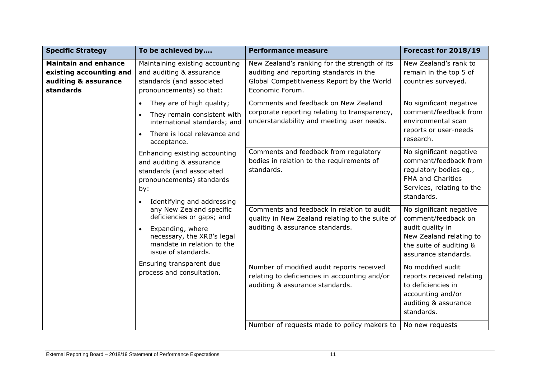| <b>Specific Strategy</b>                                                                                                                                                                                                                                                                                                              | To be achieved by                                                                                                                                    | <b>Performance measure</b>                                                                                                                                | Forecast for 2018/19                                                                                                            |
|---------------------------------------------------------------------------------------------------------------------------------------------------------------------------------------------------------------------------------------------------------------------------------------------------------------------------------------|------------------------------------------------------------------------------------------------------------------------------------------------------|-----------------------------------------------------------------------------------------------------------------------------------------------------------|---------------------------------------------------------------------------------------------------------------------------------|
| <b>Maintain and enhance</b><br>existing accounting and<br>auditing & assurance<br>standards                                                                                                                                                                                                                                           | Maintaining existing accounting<br>and auditing & assurance<br>standards (and associated<br>pronouncements) so that:                                 | New Zealand's ranking for the strength of its<br>auditing and reporting standards in the<br>Global Competitiveness Report by the World<br>Economic Forum. | New Zealand's rank to<br>remain in the top 5 of<br>countries surveyed.                                                          |
|                                                                                                                                                                                                                                                                                                                                       | They are of high quality;<br>$\bullet$<br>They remain consistent with<br>international standards; and<br>There is local relevance and<br>acceptance. | Comments and feedback on New Zealand<br>corporate reporting relating to transparency,<br>understandability and meeting user needs.                        | No significant negative<br>comment/feedback from<br>environmental scan<br>reports or user-needs<br>research.                    |
| Enhancing existing accounting<br>and auditing & assurance<br>standards (and associated<br>pronouncements) standards<br>by:<br>Identifying and addressing<br>any New Zealand specific<br>deficiencies or gaps; and<br>Expanding, where<br>$\bullet$<br>necessary, the XRB's legal<br>mandate in relation to the<br>issue of standards. | Comments and feedback from regulatory<br>bodies in relation to the requirements of<br>standards.                                                     | No significant negative<br>comment/feedback from<br>regulatory bodies eg.,<br><b>FMA and Charities</b><br>Services, relating to the<br>standards.         |                                                                                                                                 |
|                                                                                                                                                                                                                                                                                                                                       | Comments and feedback in relation to audit<br>quality in New Zealand relating to the suite of<br>auditing & assurance standards.                     | No significant negative<br>comment/feedback on<br>audit quality in<br>New Zealand relating to<br>the suite of auditing &<br>assurance standards.          |                                                                                                                                 |
|                                                                                                                                                                                                                                                                                                                                       | Ensuring transparent due<br>process and consultation.                                                                                                | Number of modified audit reports received<br>relating to deficiencies in accounting and/or<br>auditing & assurance standards.                             | No modified audit<br>reports received relating<br>to deficiencies in<br>accounting and/or<br>auditing & assurance<br>standards. |
|                                                                                                                                                                                                                                                                                                                                       |                                                                                                                                                      | Number of requests made to policy makers to                                                                                                               | No new requests                                                                                                                 |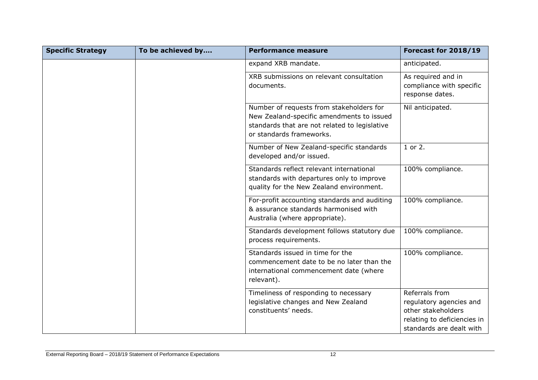| <b>Specific Strategy</b> | To be achieved by | <b>Performance measure</b>                                                                                                                                         | Forecast for 2018/19                                                                                                       |
|--------------------------|-------------------|--------------------------------------------------------------------------------------------------------------------------------------------------------------------|----------------------------------------------------------------------------------------------------------------------------|
|                          |                   | expand XRB mandate.                                                                                                                                                | anticipated.                                                                                                               |
|                          |                   | XRB submissions on relevant consultation<br>documents.                                                                                                             | As required and in<br>compliance with specific<br>response dates.                                                          |
|                          |                   | Number of requests from stakeholders for<br>New Zealand-specific amendments to issued<br>standards that are not related to legislative<br>or standards frameworks. | Nil anticipated.                                                                                                           |
|                          |                   | Number of New Zealand-specific standards<br>developed and/or issued.                                                                                               | 1 or 2.                                                                                                                    |
|                          |                   | Standards reflect relevant international<br>standards with departures only to improve<br>quality for the New Zealand environment.                                  | 100% compliance.                                                                                                           |
|                          |                   | For-profit accounting standards and auditing<br>& assurance standards harmonised with<br>Australia (where appropriate).                                            | 100% compliance.                                                                                                           |
|                          |                   | Standards development follows statutory due<br>process requirements.                                                                                               | 100% compliance.                                                                                                           |
|                          |                   | Standards issued in time for the<br>commencement date to be no later than the<br>international commencement date (where<br>relevant).                              | 100% compliance.                                                                                                           |
|                          |                   | Timeliness of responding to necessary<br>legislative changes and New Zealand<br>constituents' needs.                                                               | Referrals from<br>regulatory agencies and<br>other stakeholders<br>relating to deficiencies in<br>standards are dealt with |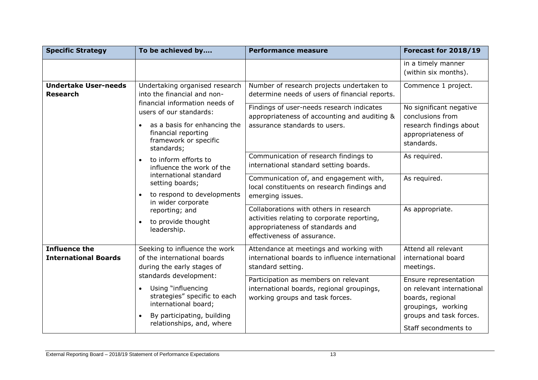| <b>Specific Strategy</b>                                                                                  | To be achieved by                                                                                                                                                            | <b>Performance measure</b>                                                                                                                               | Forecast for 2018/19                                                                                                                            |
|-----------------------------------------------------------------------------------------------------------|------------------------------------------------------------------------------------------------------------------------------------------------------------------------------|----------------------------------------------------------------------------------------------------------------------------------------------------------|-------------------------------------------------------------------------------------------------------------------------------------------------|
|                                                                                                           |                                                                                                                                                                              |                                                                                                                                                          | in a timely manner<br>(within six months).                                                                                                      |
| <b>Undertake User-needs</b><br><b>Research</b>                                                            | Undertaking organised research<br>into the financial and non-                                                                                                                | Number of research projects undertaken to<br>determine needs of users of financial reports.                                                              | Commence 1 project.                                                                                                                             |
| financial information needs of<br>users of our standards:<br>financial reporting<br>framework or specific | as a basis for enhancing the<br>standards;                                                                                                                                   | Findings of user-needs research indicates<br>appropriateness of accounting and auditing &<br>assurance standards to users.                               | No significant negative<br>conclusions from<br>research findings about<br>appropriateness of<br>standards.                                      |
|                                                                                                           | to inform efforts to<br>influence the work of the                                                                                                                            | Communication of research findings to<br>international standard setting boards.                                                                          | As required.                                                                                                                                    |
|                                                                                                           | international standard<br>setting boards;<br>to respond to developments<br>in wider corporate                                                                                | Communication of, and engagement with,<br>local constituents on research findings and<br>emerging issues.                                                | As required.                                                                                                                                    |
|                                                                                                           | reporting; and<br>to provide thought<br>$\bullet$<br>leadership.                                                                                                             | Collaborations with others in research<br>activities relating to corporate reporting,<br>appropriateness of standards and<br>effectiveness of assurance. | As appropriate.                                                                                                                                 |
| <b>Influence the</b><br><b>International Boards</b>                                                       | Seeking to influence the work<br>of the international boards<br>during the early stages of                                                                                   | Attendance at meetings and working with<br>international boards to influence international<br>standard setting.                                          | Attend all relevant<br>international board<br>meetings.                                                                                         |
|                                                                                                           | standards development:<br>Using "influencing<br>strategies" specific to each<br>international board;<br>By participating, building<br>$\bullet$<br>relationships, and, where | Participation as members on relevant<br>international boards, regional groupings,<br>working groups and task forces.                                     | Ensure representation<br>on relevant international<br>boards, regional<br>groupings, working<br>groups and task forces.<br>Staff secondments to |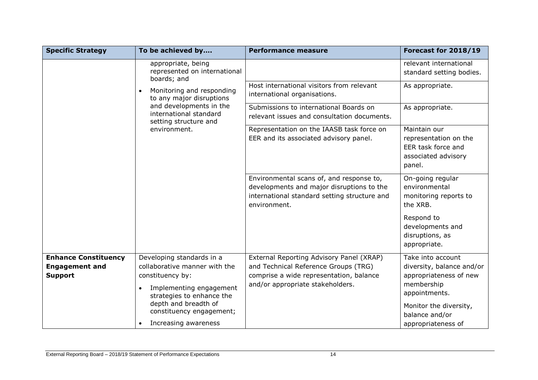| <b>Specific Strategy</b>    | To be achieved by                                                                                                     | <b>Performance measure</b>                                                                                                                            | Forecast for 2018/19                                                                         |                 |
|-----------------------------|-----------------------------------------------------------------------------------------------------------------------|-------------------------------------------------------------------------------------------------------------------------------------------------------|----------------------------------------------------------------------------------------------|-----------------|
|                             | appropriate, being<br>represented on international<br>boards; and                                                     |                                                                                                                                                       | relevant international<br>standard setting bodies.                                           |                 |
|                             | Monitoring and responding<br>$\bullet$<br>to any major disruptions                                                    | Host international visitors from relevant<br>international organisations.                                                                             | As appropriate.                                                                              |                 |
|                             | and developments in the<br>international standard                                                                     | setting structure and                                                                                                                                 | Submissions to international Boards on<br>relevant issues and consultation documents.        | As appropriate. |
|                             | environment.                                                                                                          | Representation on the IAASB task force on<br>EER and its associated advisory panel.                                                                   | Maintain our<br>representation on the<br>EER task force and<br>associated advisory<br>panel. |                 |
|                             |                                                                                                                       | Environmental scans of, and response to,<br>developments and major disruptions to the<br>international standard setting structure and<br>environment. | On-going regular<br>environmental<br>monitoring reports to<br>the XRB.                       |                 |
|                             |                                                                                                                       |                                                                                                                                                       | Respond to<br>developments and<br>disruptions, as<br>appropriate.                            |                 |
| <b>Enhance Constituency</b> | Developing standards in a                                                                                             | External Reporting Advisory Panel (XRAP)                                                                                                              | Take into account                                                                            |                 |
| <b>Engagement and</b>       | collaborative manner with the                                                                                         | and Technical Reference Groups (TRG)                                                                                                                  | diversity, balance and/or                                                                    |                 |
| <b>Support</b>              | constituency by:                                                                                                      | comprise a wide representation, balance                                                                                                               | appropriateness of new                                                                       |                 |
|                             | Implementing engagement<br>$\bullet$<br>strategies to enhance the<br>depth and breadth of<br>constituency engagement; | and/or appropriate stakeholders.                                                                                                                      | membership<br>appointments.<br>Monitor the diversity,<br>balance and/or                      |                 |
|                             | Increasing awareness<br>$\bullet$                                                                                     |                                                                                                                                                       | appropriateness of                                                                           |                 |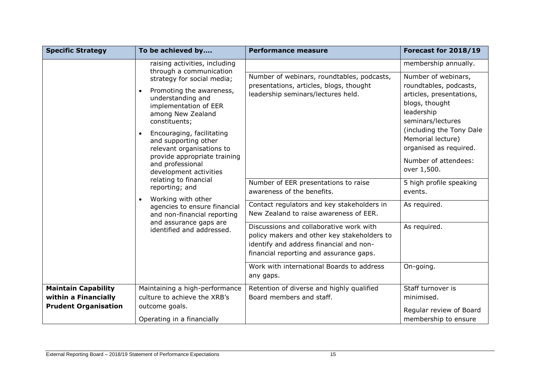| <b>Specific Strategy</b>    | To be achieved by                                                                                                                                                                                                                                                                                                                                                                                                                                                                               | <b>Performance measure</b>                                                                                                                                                   | Forecast for 2018/19                                                                                                                                                                                                                             |
|-----------------------------|-------------------------------------------------------------------------------------------------------------------------------------------------------------------------------------------------------------------------------------------------------------------------------------------------------------------------------------------------------------------------------------------------------------------------------------------------------------------------------------------------|------------------------------------------------------------------------------------------------------------------------------------------------------------------------------|--------------------------------------------------------------------------------------------------------------------------------------------------------------------------------------------------------------------------------------------------|
|                             | raising activities, including                                                                                                                                                                                                                                                                                                                                                                                                                                                                   |                                                                                                                                                                              | membership annually.                                                                                                                                                                                                                             |
|                             | through a communication<br>strategy for social media;<br>Promoting the awareness,<br>$\bullet$<br>understanding and<br>implementation of EER<br>among New Zealand<br>constituents;<br>Encouraging, facilitating<br>and supporting other<br>relevant organisations to<br>provide appropriate training<br>and professional<br>development activities<br>relating to financial<br>reporting; and<br>Working with other<br>$\bullet$<br>agencies to ensure financial<br>and non-financial reporting | Number of webinars, roundtables, podcasts,<br>presentations, articles, blogs, thought<br>leadership seminars/lectures held.                                                  | Number of webinars,<br>roundtables, podcasts,<br>articles, presentations,<br>blogs, thought<br>leadership<br>seminars/lectures<br>(including the Tony Dale<br>Memorial lecture)<br>organised as required.<br>Number of attendees:<br>over 1,500. |
|                             |                                                                                                                                                                                                                                                                                                                                                                                                                                                                                                 | Number of EER presentations to raise<br>awareness of the benefits.                                                                                                           | 5 high profile speaking<br>events.                                                                                                                                                                                                               |
|                             |                                                                                                                                                                                                                                                                                                                                                                                                                                                                                                 | Contact regulators and key stakeholders in<br>New Zealand to raise awareness of EER.                                                                                         | As required.                                                                                                                                                                                                                                     |
|                             | and assurance gaps are<br>identified and addressed.                                                                                                                                                                                                                                                                                                                                                                                                                                             | Discussions and collaborative work with<br>policy makers and other key stakeholders to<br>identify and address financial and non-<br>financial reporting and assurance gaps. | As required.                                                                                                                                                                                                                                     |
|                             |                                                                                                                                                                                                                                                                                                                                                                                                                                                                                                 | Work with international Boards to address<br>any gaps.                                                                                                                       | On-going.                                                                                                                                                                                                                                        |
| <b>Maintain Capability</b>  | Maintaining a high-performance                                                                                                                                                                                                                                                                                                                                                                                                                                                                  | Retention of diverse and highly qualified                                                                                                                                    | Staff turnover is                                                                                                                                                                                                                                |
| within a Financially        | culture to achieve the XRB's                                                                                                                                                                                                                                                                                                                                                                                                                                                                    | Board members and staff.                                                                                                                                                     | minimised.                                                                                                                                                                                                                                       |
| <b>Prudent Organisation</b> | outcome goals.                                                                                                                                                                                                                                                                                                                                                                                                                                                                                  |                                                                                                                                                                              | Regular review of Board                                                                                                                                                                                                                          |
|                             | Operating in a financially                                                                                                                                                                                                                                                                                                                                                                                                                                                                      |                                                                                                                                                                              | membership to ensure                                                                                                                                                                                                                             |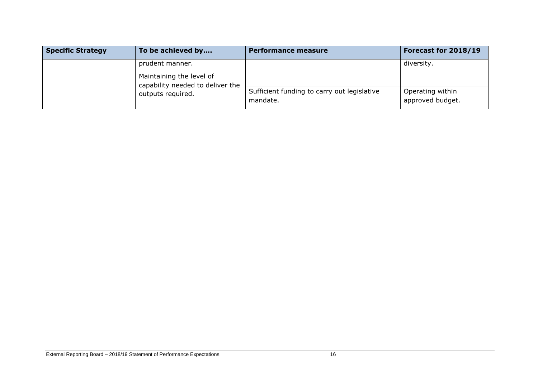| <b>Specific Strategy</b> | To be achieved by                                            | <b>Performance measure</b>                              | Forecast for 2018/19                 |
|--------------------------|--------------------------------------------------------------|---------------------------------------------------------|--------------------------------------|
|                          | prudent manner.                                              |                                                         | diversity.                           |
|                          | Maintaining the level of<br>capability needed to deliver the |                                                         |                                      |
|                          | outputs required.                                            | Sufficient funding to carry out legislative<br>mandate. | Operating within<br>approved budget. |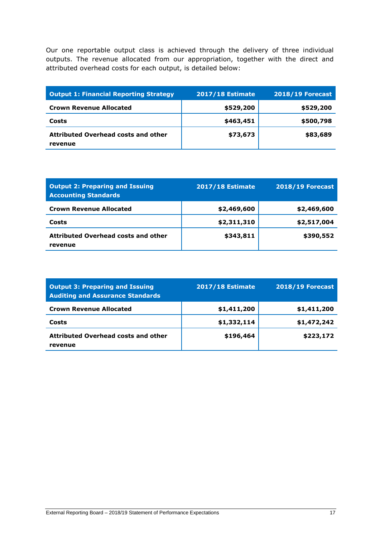Our one reportable output class is achieved through the delivery of three individual outputs. The revenue allocated from our appropriation, together with the direct and attributed overhead costs for each output, is detailed below:

| <b>Output 1: Financial Reporting Strategy</b>         | <b>2017/18 Estimate</b> | <b>2018/19 Forecast</b> |
|-------------------------------------------------------|-------------------------|-------------------------|
| <b>Crown Revenue Allocated</b>                        | \$529,200               | \$529,200               |
| Costs                                                 | \$463,451               | \$500,798               |
| <b>Attributed Overhead costs and other</b><br>revenue | \$73,673                | \$83,689                |

| <b>Output 2: Preparing and Issuing</b><br><b>Accounting Standards</b> | <b>2017/18 Estimate</b> | <b>2018/19 Forecast</b> |
|-----------------------------------------------------------------------|-------------------------|-------------------------|
| <b>Crown Revenue Allocated</b>                                        | \$2,469,600             | \$2,469,600             |
| Costs                                                                 | \$2,311,310             | \$2,517,004             |
| <b>Attributed Overhead costs and other</b><br>revenue                 | \$343,811               | \$390,552               |

| <b>Output 3: Preparing and Issuing</b><br><b>Auditing and Assurance Standards</b> | <b>2017/18 Estimate</b> | <b>2018/19 Forecast</b> |
|-----------------------------------------------------------------------------------|-------------------------|-------------------------|
| <b>Crown Revenue Allocated</b>                                                    | \$1,411,200             | \$1,411,200             |
| Costs                                                                             | \$1,332,114             | \$1,472,242             |
| <b>Attributed Overhead costs and other</b><br>revenue                             | \$196,464               | \$223,172               |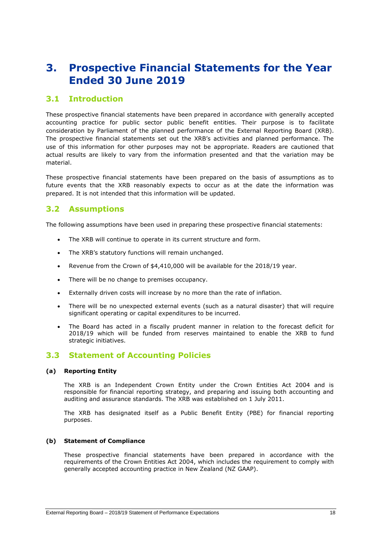# <span id="page-17-0"></span>**3. Prospective Financial Statements for the Year Ended 30 June 2019**

### **3.1 Introduction**

These prospective financial statements have been prepared in accordance with generally accepted accounting practice for public sector public benefit entities. Their purpose is to facilitate consideration by Parliament of the planned performance of the External Reporting Board (XRB). The prospective financial statements set out the XRB's activities and planned performance. The use of this information for other purposes may not be appropriate. Readers are cautioned that actual results are likely to vary from the information presented and that the variation may be material.

These prospective financial statements have been prepared on the basis of assumptions as to future events that the XRB reasonably expects to occur as at the date the information was prepared. It is not intended that this information will be updated.

## **3.2 Assumptions**

The following assumptions have been used in preparing these prospective financial statements:

- The XRB will continue to operate in its current structure and form.
- The XRB's statutory functions will remain unchanged.
- Revenue from the Crown of \$4,410,000 will be available for the 2018/19 year.
- There will be no change to premises occupancy.
- Externally driven costs will increase by no more than the rate of inflation.
- There will be no unexpected external events (such as a natural disaster) that will require significant operating or capital expenditures to be incurred.
- The Board has acted in a fiscally prudent manner in relation to the forecast deficit for 2018/19 which will be funded from reserves maintained to enable the XRB to fund strategic initiatives.

## **3.3 Statement of Accounting Policies**

#### **(a) Reporting Entity**

The XRB is an Independent Crown Entity under the Crown Entities Act 2004 and is responsible for financial reporting strategy, and preparing and issuing both accounting and auditing and assurance standards. The XRB was established on 1 July 2011.

The XRB has designated itself as a Public Benefit Entity (PBE) for financial reporting purposes.

#### **(b) Statement of Compliance**

These prospective financial statements have been prepared in accordance with the requirements of the Crown Entities Act 2004, which includes the requirement to comply with generally accepted accounting practice in New Zealand (NZ GAAP).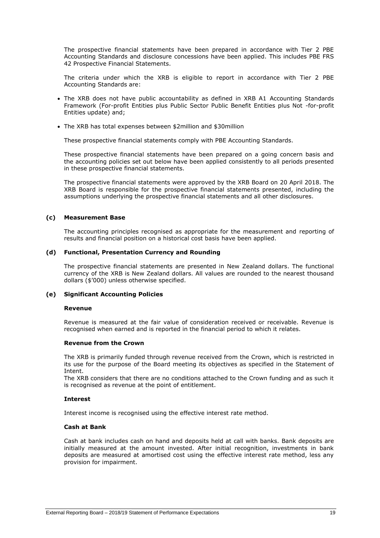The prospective financial statements have been prepared in accordance with Tier 2 PBE Accounting Standards and disclosure concessions have been applied. This includes PBE FRS 42 Prospective Financial Statements.

The criteria under which the XRB is eligible to report in accordance with Tier 2 PBE Accounting Standards are:

- The XRB does not have public accountability as defined in XRB A1 Accounting Standards Framework (For-profit Entities plus Public Sector Public Benefit Entities plus Not -for-profit Entities update) and;
- The XRB has total expenses between \$2million and \$30million

These prospective financial statements comply with PBE Accounting Standards.

These prospective financial statements have been prepared on a going concern basis and the accounting policies set out below have been applied consistently to all periods presented in these prospective financial statements.

The prospective financial statements were approved by the XRB Board on 20 April 2018. The XRB Board is responsible for the prospective financial statements presented, including the assumptions underlying the prospective financial statements and all other disclosures.

#### **(c) Measurement Base**

The accounting principles recognised as appropriate for the measurement and reporting of results and financial position on a historical cost basis have been applied.

#### **(d) Functional, Presentation Currency and Rounding**

The prospective financial statements are presented in New Zealand dollars. The functional currency of the XRB is New Zealand dollars. All values are rounded to the nearest thousand dollars (\$'000) unless otherwise specified.

#### **(e) Significant Accounting Policies**

#### **Revenue**

Revenue is measured at the fair value of consideration received or receivable. Revenue is recognised when earned and is reported in the financial period to which it relates.

#### **Revenue from the Crown**

The XRB is primarily funded through revenue received from the Crown, which is restricted in its use for the purpose of the Board meeting its objectives as specified in the Statement of Intent.

The XRB considers that there are no conditions attached to the Crown funding and as such it is recognised as revenue at the point of entitlement.

#### **Interest**

Interest income is recognised using the effective interest rate method.

#### **Cash at Bank**

Cash at bank includes cash on hand and deposits held at call with banks. Bank deposits are initially measured at the amount invested. After initial recognition, investments in bank deposits are measured at amortised cost using the effective interest rate method, less any provision for impairment.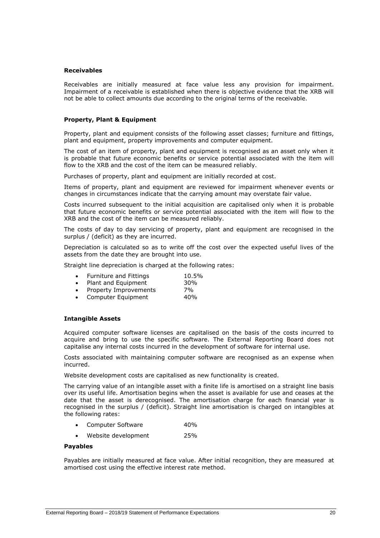#### **Receivables**

Receivables are initially measured at face value less any provision for impairment. Impairment of a receivable is established when there is objective evidence that the XRB will not be able to collect amounts due according to the original terms of the receivable.

#### **Property, Plant & Equipment**

Property, plant and equipment consists of the following asset classes; furniture and fittings, plant and equipment, property improvements and computer equipment.

The cost of an item of property, plant and equipment is recognised as an asset only when it is probable that future economic benefits or service potential associated with the item will flow to the XRB and the cost of the item can be measured reliably.

Purchases of property, plant and equipment are initially recorded at cost.

Items of property, plant and equipment are reviewed for impairment whenever events or changes in circumstances indicate that the carrying amount may overstate fair value.

Costs incurred subsequent to the initial acquisition are capitalised only when it is probable that future economic benefits or service potential associated with the item will flow to the XRB and the cost of the item can be measured reliably.

The costs of day to day servicing of property, plant and equipment are recognised in the surplus / (deficit) as they are incurred.

Depreciation is calculated so as to write off the cost over the expected useful lives of the assets from the date they are brought into use.

Straight line depreciation is charged at the following rates:

| $\bullet$ | <b>Furniture and Fittings</b> | 10.5% |
|-----------|-------------------------------|-------|
| $\bullet$ | Plant and Equipment           | 30%   |
| $\bullet$ | Property Improvements         | 7%    |
|           | • Computer Equipment          | 40%   |

#### **Intangible Assets**

Acquired computer software licenses are capitalised on the basis of the costs incurred to acquire and bring to use the specific software. The External Reporting Board does not capitalise any internal costs incurred in the development of software for internal use.

Costs associated with maintaining computer software are recognised as an expense when incurred.

Website development costs are capitalised as new functionality is created.

The carrying value of an intangible asset with a finite life is amortised on a straight line basis over its useful life. Amortisation begins when the asset is available for use and ceases at the date that the asset is derecognised. The amortisation charge for each financial year is recognised in the surplus / (deficit). Straight line amortisation is charged on intangibles at the following rates:

- Computer Software 40%
- Website development 25%

#### **Payables**

Payables are initially measured at face value. After initial recognition, they are measured at amortised cost using the effective interest rate method.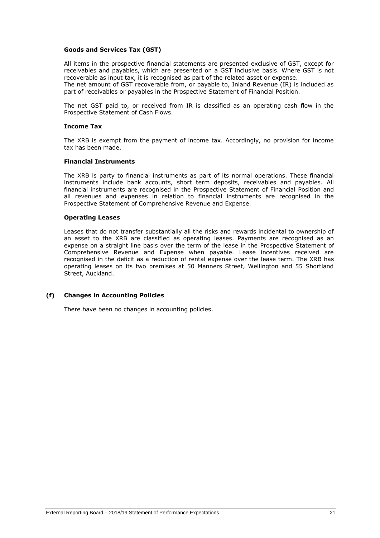#### **Goods and Services Tax (GST)**

All items in the prospective financial statements are presented exclusive of GST, except for receivables and payables, which are presented on a GST inclusive basis. Where GST is not recoverable as input tax, it is recognised as part of the related asset or expense.

The net amount of GST recoverable from, or payable to, Inland Revenue (IR) is included as part of receivables or payables in the Prospective Statement of Financial Position.

The net GST paid to, or received from IR is classified as an operating cash flow in the Prospective Statement of Cash Flows.

#### **Income Tax**

The XRB is exempt from the payment of income tax. Accordingly, no provision for income tax has been made.

#### **Financial Instruments**

The XRB is party to financial instruments as part of its normal operations. These financial instruments include bank accounts, short term deposits, receivables and payables. All financial instruments are recognised in the Prospective Statement of Financial Position and all revenues and expenses in relation to financial instruments are recognised in the Prospective Statement of Comprehensive Revenue and Expense.

#### **Operating Leases**

Leases that do not transfer substantially all the risks and rewards incidental to ownership of an asset to the XRB are classified as operating leases. Payments are recognised as an expense on a straight line basis over the term of the lease in the Prospective Statement of Comprehensive Revenue and Expense when payable. Lease incentives received are recognised in the deficit as a reduction of rental expense over the lease term. The XRB has operating leases on its two premises at 50 Manners Street, Wellington and 55 Shortland Street, Auckland.

#### **(f) Changes in Accounting Policies**

There have been no changes in accounting policies.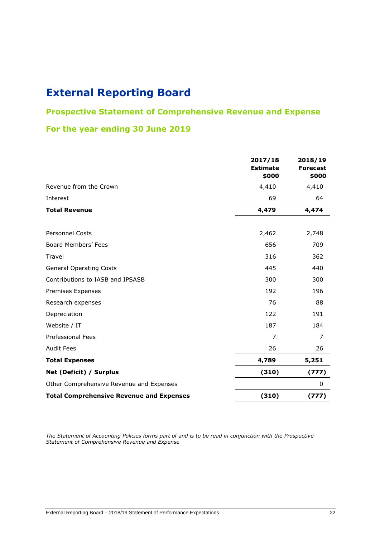# **Prospective Statement of Comprehensive Revenue and Expense**

## **For the year ending 30 June 2019**

|                                                 | 2017/18<br><b>Estimate</b><br>\$000 | 2018/19<br><b>Forecast</b><br>\$000 |
|-------------------------------------------------|-------------------------------------|-------------------------------------|
| Revenue from the Crown                          | 4,410                               | 4,410                               |
| Interest                                        | 69                                  | 64                                  |
| <b>Total Revenue</b>                            | 4,479                               | 4,474                               |
|                                                 |                                     |                                     |
| <b>Personnel Costs</b>                          | 2,462                               | 2,748                               |
| Board Members' Fees                             | 656                                 | 709                                 |
| Travel                                          | 316                                 | 362                                 |
| <b>General Operating Costs</b>                  | 445                                 | 440                                 |
| Contributions to IASB and IPSASB                | 300                                 | 300                                 |
| Premises Expenses                               | 192                                 | 196                                 |
| Research expenses                               | 76                                  | 88                                  |
| Depreciation                                    | 122                                 | 191                                 |
| Website / IT                                    | 187                                 | 184                                 |
| Professional Fees                               | 7                                   | 7                                   |
| <b>Audit Fees</b>                               | 26                                  | 26                                  |
| <b>Total Expenses</b>                           | 4,789                               | 5,251                               |
| Net (Deficit) / Surplus                         | (310)                               | (777)                               |
| Other Comprehensive Revenue and Expenses        |                                     | 0                                   |
| <b>Total Comprehensive Revenue and Expenses</b> | (310)                               | (777)                               |

*The Statement of Accounting Policies forms part of and is to be read in conjunction with the Prospective Statement of Comprehensive Revenue and Expense*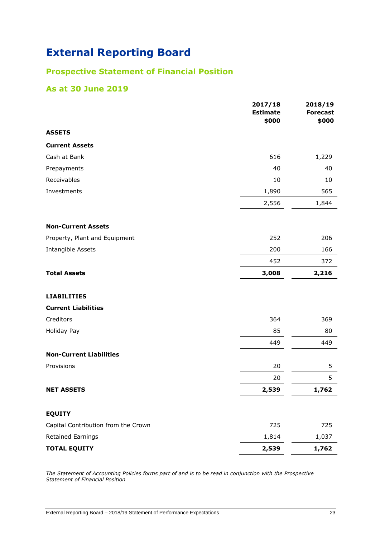# **Prospective Statement of Financial Position**

## **As at 30 June 2019**

|                                     | 2017/18<br><b>Estimate</b> | 2018/19<br><b>Forecast</b> |
|-------------------------------------|----------------------------|----------------------------|
|                                     | \$000                      | \$000                      |
| <b>ASSETS</b>                       |                            |                            |
| <b>Current Assets</b>               |                            |                            |
| Cash at Bank                        | 616                        | 1,229                      |
| Prepayments                         | 40                         | 40                         |
| Receivables                         | 10                         | 10                         |
| Investments                         | 1,890                      | 565                        |
|                                     | 2,556                      | 1,844                      |
| <b>Non-Current Assets</b>           |                            |                            |
| Property, Plant and Equipment       | 252                        | 206                        |
| Intangible Assets                   | 200                        | 166                        |
|                                     | 452                        | 372                        |
| <b>Total Assets</b>                 | 3,008                      | 2,216                      |
| <b>LIABILITIES</b>                  |                            |                            |
| <b>Current Liabilities</b>          |                            |                            |
| Creditors                           | 364                        | 369                        |
| Holiday Pay                         | 85                         | 80                         |
|                                     | 449                        | 449                        |
| <b>Non-Current Liabilities</b>      |                            |                            |
| Provisions                          | 20                         | 5                          |
|                                     | 20                         | 5                          |
| <b>NET ASSETS</b>                   | 2,539                      | 1,762                      |
| <b>EQUITY</b>                       |                            |                            |
| Capital Contribution from the Crown | 725                        | 725                        |
| <b>Retained Earnings</b>            | 1,814                      | 1,037                      |
| <b>TOTAL EQUITY</b>                 | 2,539                      | 1,762                      |

*The Statement of Accounting Policies forms part of and is to be read in conjunction with the Prospective Statement of Financial Position*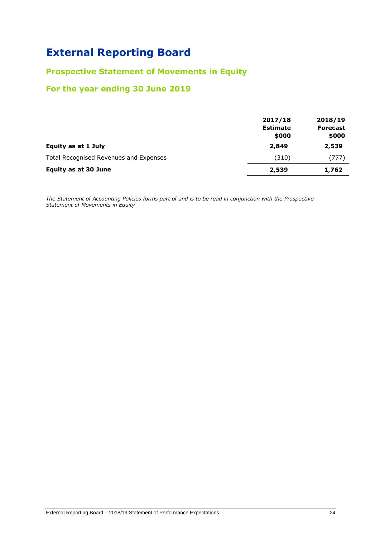## **Prospective Statement of Movements in Equity**

## **For the year ending 30 June 2019**

|                                        | 2017/18<br><b>Estimate</b><br>\$000 | 2018/19<br><b>Forecast</b><br>\$000 |
|----------------------------------------|-------------------------------------|-------------------------------------|
| Equity as at 1 July                    | 2,849                               | 2,539                               |
| Total Recognised Revenues and Expenses | (310)                               | (777)                               |
| <b>Equity as at 30 June</b>            | 2,539                               | 1,762                               |

*The Statement of Accounting Policies forms part of and is to be read in conjunction with the Prospective Statement of Movements in Equity*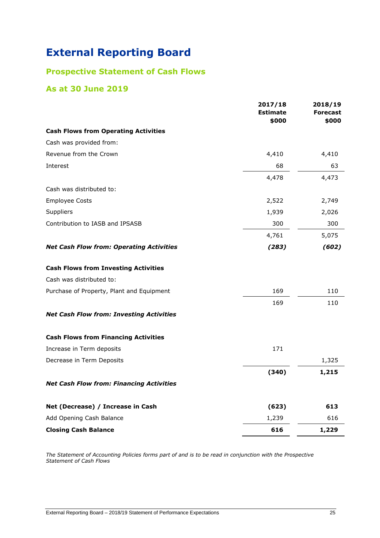# **Prospective Statement of Cash Flows**

## **As at 30 June 2019**

|                                                 | 2017/18<br><b>Estimate</b><br>\$000 | 2018/19<br><b>Forecast</b><br>\$000 |
|-------------------------------------------------|-------------------------------------|-------------------------------------|
| <b>Cash Flows from Operating Activities</b>     |                                     |                                     |
| Cash was provided from:                         |                                     |                                     |
| Revenue from the Crown                          | 4,410                               | 4,410                               |
| Interest                                        | 68                                  | 63                                  |
|                                                 | 4,478                               | 4,473                               |
| Cash was distributed to:                        |                                     |                                     |
| <b>Employee Costs</b>                           | 2,522                               | 2,749                               |
| Suppliers                                       | 1,939                               | 2,026                               |
| Contribution to IASB and IPSASB                 | 300                                 | 300                                 |
|                                                 | 4,761                               | 5,075                               |
| <b>Net Cash Flow from: Operating Activities</b> | (283)                               | (602)                               |
| <b>Cash Flows from Investing Activities</b>     |                                     |                                     |
| Cash was distributed to:                        |                                     |                                     |
| Purchase of Property, Plant and Equipment       | 169                                 | 110                                 |
|                                                 | 169                                 | 110                                 |
| <b>Net Cash Flow from: Investing Activities</b> |                                     |                                     |
| <b>Cash Flows from Financing Activities</b>     |                                     |                                     |
| Increase in Term deposits                       | 171                                 |                                     |
| Decrease in Term Deposits                       |                                     | 1,325                               |
|                                                 | (340)                               | 1,215                               |
| <b>Net Cash Flow from: Financing Activities</b> |                                     |                                     |
| Net (Decrease) / Increase in Cash               | (623)                               | 613                                 |
| Add Opening Cash Balance                        | 1,239                               | 616                                 |
| <b>Closing Cash Balance</b>                     | 616                                 | 1,229                               |

*The Statement of Accounting Policies forms part of and is to be read in conjunction with the Prospective Statement of Cash Flows*